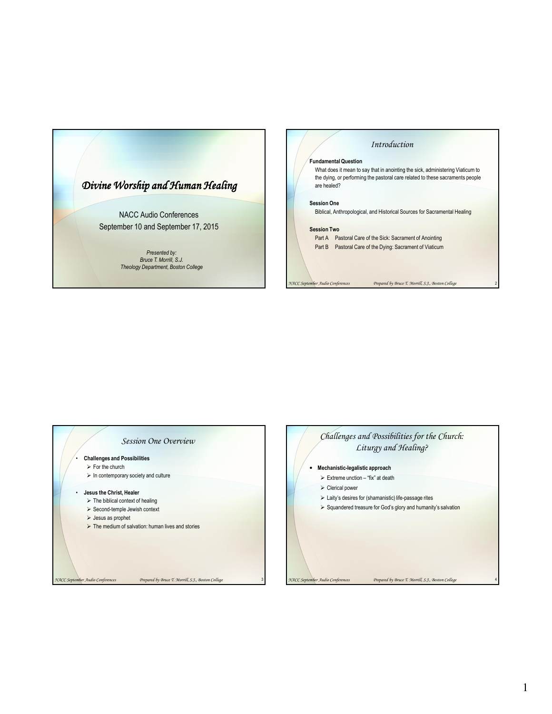

### *Introduction*

#### **Fundamental Question**

What does it mean to say that in anointing the sick, administering Viaticum to the dying, or performing the pastoral care related to these sacraments people are healed?

#### **Session One**

Biblical, Anthropological, and Historical Sources for Sacramental Healing

#### **Session Two**

Part A Pastoral Care of the Sick: Sacrament of Anointing Part B Pastoral Care of the Dying: Sacrament of Viaticum

*NACC September Audio Conferences Prepared by Bruce T. Morrill, S.J., Boston College* 2



*NACC September Audio Conferences Prepared by Bruce T. Morrill, S.J., Boston College* 3

## *Challenges and Possibilities for the Church: Liturgy and Healing?*

- **Mechanistic-legalistic approach**
	- $\triangleright$  Extreme unction "fix" at death
	- Clerical power
	- $\triangleright$  Laity's desires for (shamanistic) life-passage rites
	- $\triangleright$  Squandered treasure for God's glory and humanity's salvation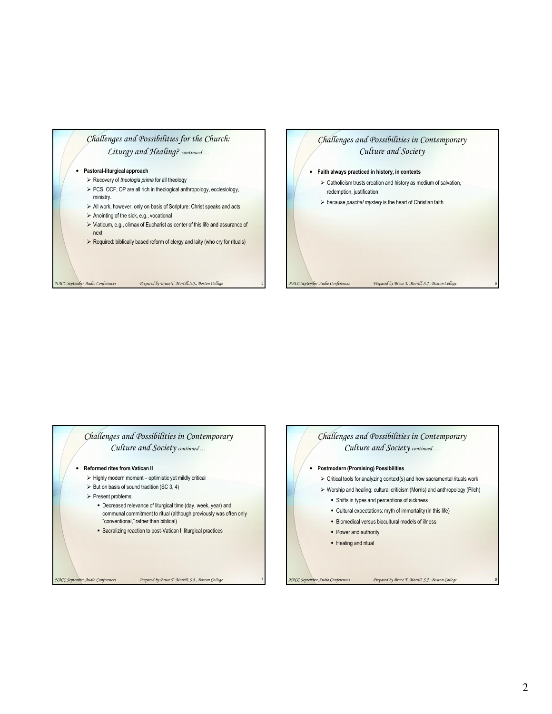# *Challenges and Possibilities for the Church: Liturgy and Healing? continued …*

#### • **Pastoral-liturgical approach**

- Recovery of *theologia prima* for all theology
- > PCS, OCF, OP are all rich in theological anthropology, ecclesiology, ministry.
- $\triangleright$  All work, however, only on basis of Scripture: Christ speaks and acts.
- $\triangleright$  Anointing of the sick, e.g., vocational
- Viaticum, e.g., climax of Eucharist as center of this life and assurance of next
- $\triangleright$  Required: biblically based reform of clergy and laity (who cry for rituals)

*NACC September Audio Conferences Prepared by Bruce T. Morrill, S.J., Boston College* 5



## *Challenges and Possibilities in Contemporary Culture and Society continued …*

#### • **Reformed rites from Vatican II**

- $\triangleright$  Highly modern moment optimistic yet mildly critical
- $\triangleright$  But on basis of sound tradition (SC 3, 4)
- $\triangleright$  Present problems:
	- Decreased relevance of liturgical time (day, week, year) and communal commitment to ritual (although previously was often only "conventional," rather than biblical)
	- **-** Sacralizing reaction to post-Vatican II liturgical practices

# *Challenges and Possibilities in Contemporary Culture and Society continued …*

- **Postmodern (Promising) Possibilities**
	- $\triangleright$  Critical tools for analyzing context(s) and how sacramental rituals work
	- Worship and healing: cultural criticism (Morris) and anthropology (Pilch)
		- Shifts in types and perceptions of sickness
		- Cultural expectations: myth of immortality (in this life)
		- **Biomedical versus biocultural models of illness**
		- Power and authority
		- Healing and ritual

*NACC September Audio Conferences Prepared by Bruce T. Morrill, S.J., Boston College* 7

*NACC September Audio Conferences Prepared by Bruce T. Morrill, S.J., Boston College* 8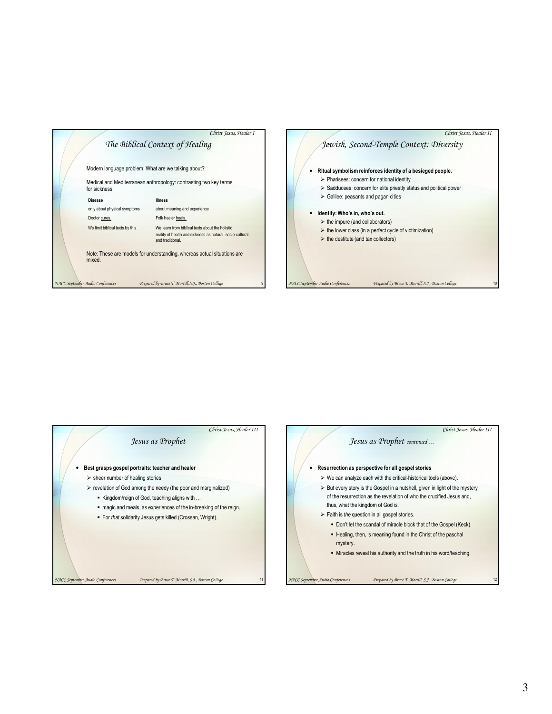





3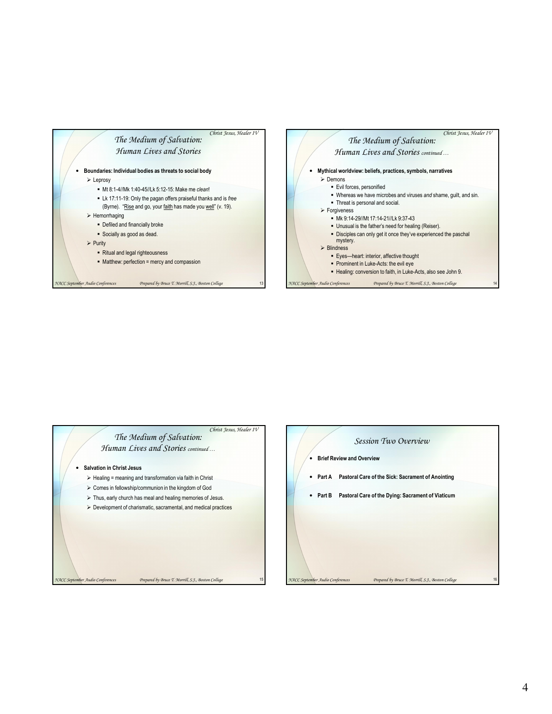



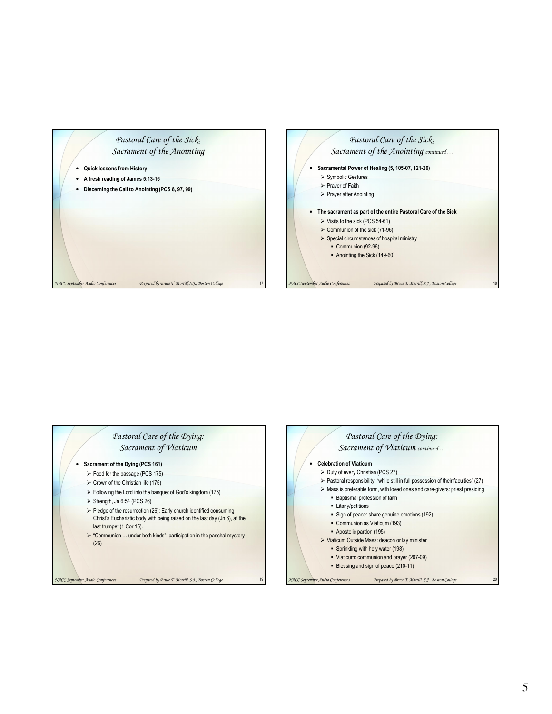





# 5